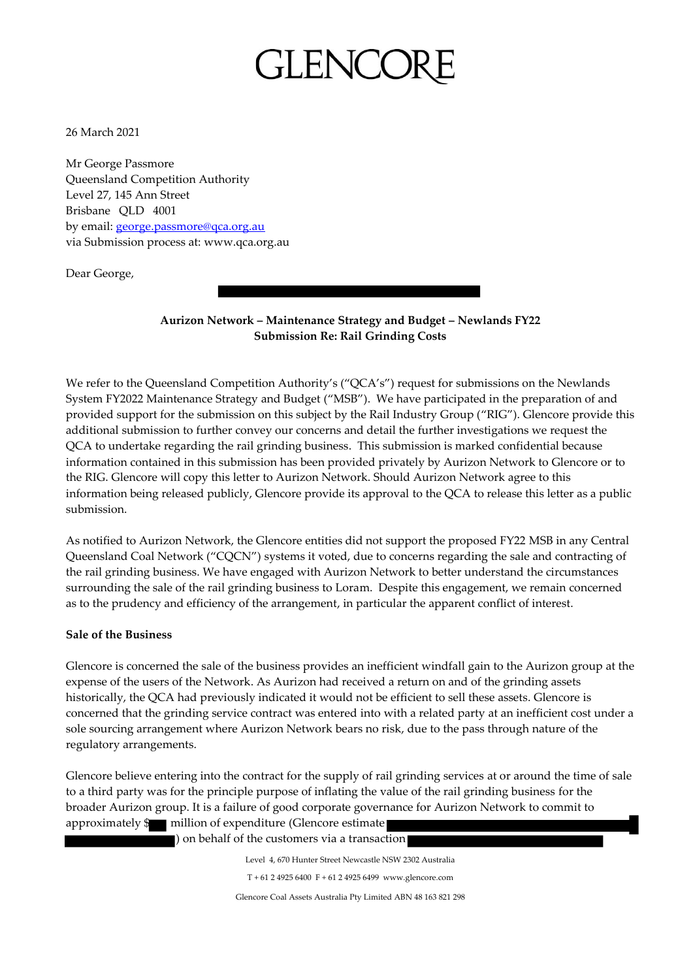## **GLENCC**

26 March 2021

Mr George Passmore Queensland Competition Authority Level 27, 145 Ann Street Brisbane QLD 4001 by email: **george.passmore@qca.org.au** via Submission process at: www.qca.org.au

Dear George,

**Aurizon Network – Maintenance Strategy and Budget – Newlands FY22 Submission Re: Rail Grinding Costs**

We refer to the Queensland Competition Authority's ("QCA's") request for submissions on the Newlands System FY2022 Maintenance Strategy and Budget ("MSB"). We have participated in the preparation of and provided support for the submission on this subject by the Rail Industry Group ("RIG"). Glencore provide this additional submission to further convey our concerns and detail the further investigations we request the QCA to undertake regarding the rail grinding business. This submission is marked confidential because information contained in this submission has been provided privately by Aurizon Network to Glencore or to the RIG. Glencore will copy this letter to Aurizon Network. Should Aurizon Network agree to this information being released publicly, Glencore provide its approval to the QCA to release this letter as a public submission.

As notified to Aurizon Network, the Glencore entities did not support the proposed FY22 MSB in any Central Queensland Coal Network ("CQCN") systems it voted, due to concerns regarding the sale and contracting of the rail grinding business. We have engaged with Aurizon Network to better understand the circumstances surrounding the sale of the rail grinding business to Loram. Despite this engagement, we remain concerned as to the prudency and efficiency of the arrangement, in particular the apparent conflict of interest.

#### **Sale of the Business**

Glencore is concerned the sale of the business provides an inefficient windfall gain to the Aurizon group at the expense of the users of the Network. As Aurizon had received a return on and of the grinding assets historically, the QCA had previously indicated it would not be efficient to sell these assets. Glencore is concerned that the grinding service contract was entered into with a related party at an inefficient cost under a sole sourcing arrangement where Aurizon Network bears no risk, due to the pass through nature of the regulatory arrangements.

Glencore believe entering into the contract for the supply of rail grinding services at or around the time of sale to a third party was for the principle purpose of inflating the value of the rail grinding business for the broader Aurizon group. It is a failure of good corporate governance for Aurizon Network to commit to approximately  $\mathcal{F}$  million of expenditure (Glencore estimate)

) on behalf of the customers via a transaction

Level 4, 670 Hunter Street Newcastle NSW 2302 Australia

T + 61 2 4925 6400 F + 61 2 4925 6499 www.glencore.com

Glencore Coal Assets Australia Pty Limited ABN 48 163 821 298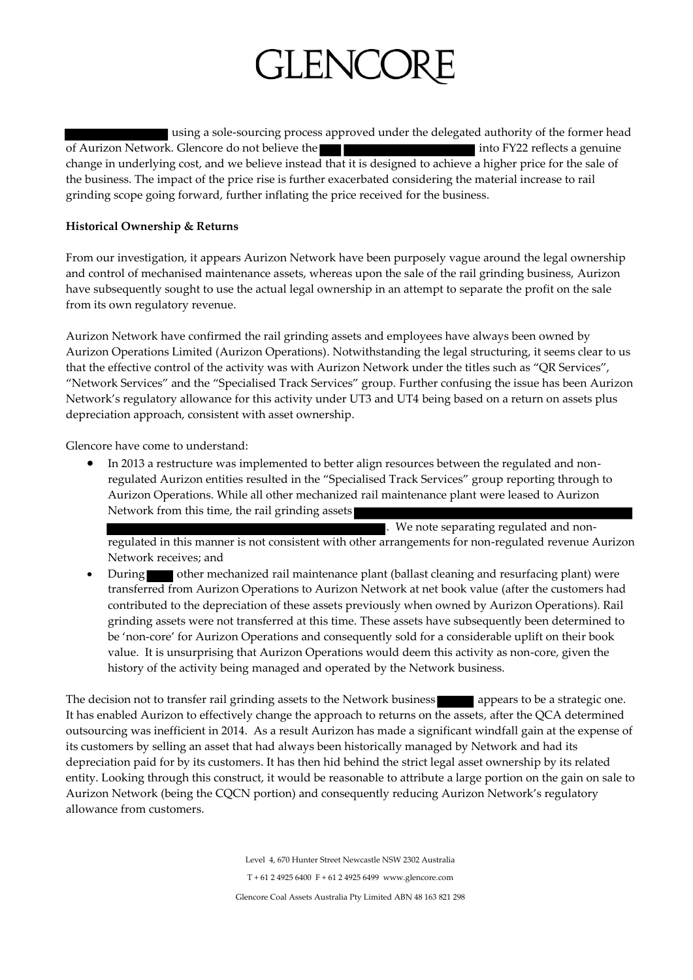# GLENCC

using a sole-sourcing process approved under the delegated authority of the former head of Aurizon Network. Glencore do not believe the into FY22 reflects a genuine change in underlying cost, and we believe instead that it is designed to achieve a higher price for the sale of the business. The impact of the price rise is further exacerbated considering the material increase to rail grinding scope going forward, further inflating the price received for the business.

### **Historical Ownership & Returns**

From our investigation, it appears Aurizon Network have been purposely vague around the legal ownership and control of mechanised maintenance assets, whereas upon the sale of the rail grinding business, Aurizon have subsequently sought to use the actual legal ownership in an attempt to separate the profit on the sale from its own regulatory revenue.

Aurizon Network have confirmed the rail grinding assets and employees have always been owned by Aurizon Operations Limited (Aurizon Operations). Notwithstanding the legal structuring, it seems clear to us that the effective control of the activity was with Aurizon Network under the titles such as "QR Services", "Network Services" and the "Specialised Track Services" group. Further confusing the issue has been Aurizon Network's regulatory allowance for this activity under UT3 and UT4 being based on a return on assets plus depreciation approach, consistent with asset ownership.

Glencore have come to understand:

 In 2013 a restructure was implemented to better align resources between the regulated and nonregulated Aurizon entities resulted in the "Specialised Track Services" group reporting through to Aurizon Operations. While all other mechanized rail maintenance plant were leased to Aurizon Network from this time, the rail grinding assets

. We note separating regulated and nonregulated in this manner is not consistent with other arrangements for non-regulated revenue Aurizon Network receives; and

During other mechanized rail maintenance plant (ballast cleaning and resurfacing plant) were transferred from Aurizon Operations to Aurizon Network at net book value (after the customers had contributed to the depreciation of these assets previously when owned by Aurizon Operations). Rail grinding assets were not transferred at this time. These assets have subsequently been determined to be 'non-core' for Aurizon Operations and consequently sold for a considerable uplift on their book value. It is unsurprising that Aurizon Operations would deem this activity as non-core, given the history of the activity being managed and operated by the Network business.

The decision not to transfer rail grinding assets to the Network business appears to be a strategic one. It has enabled Aurizon to effectively change the approach to returns on the assets, after the QCA determined outsourcing was inefficient in 2014. As a result Aurizon has made a significant windfall gain at the expense of its customers by selling an asset that had always been historically managed by Network and had its depreciation paid for by its customers. It has then hid behind the strict legal asset ownership by its related entity. Looking through this construct, it would be reasonable to attribute a large portion on the gain on sale to Aurizon Network (being the CQCN portion) and consequently reducing Aurizon Network's regulatory allowance from customers.

> Level 4, 670 Hunter Street Newcastle NSW 2302 Australia T + 61 2 4925 6400 F + 61 2 4925 6499 www.glencore.com

Glencore Coal Assets Australia Pty Limited ABN 48 163 821 298